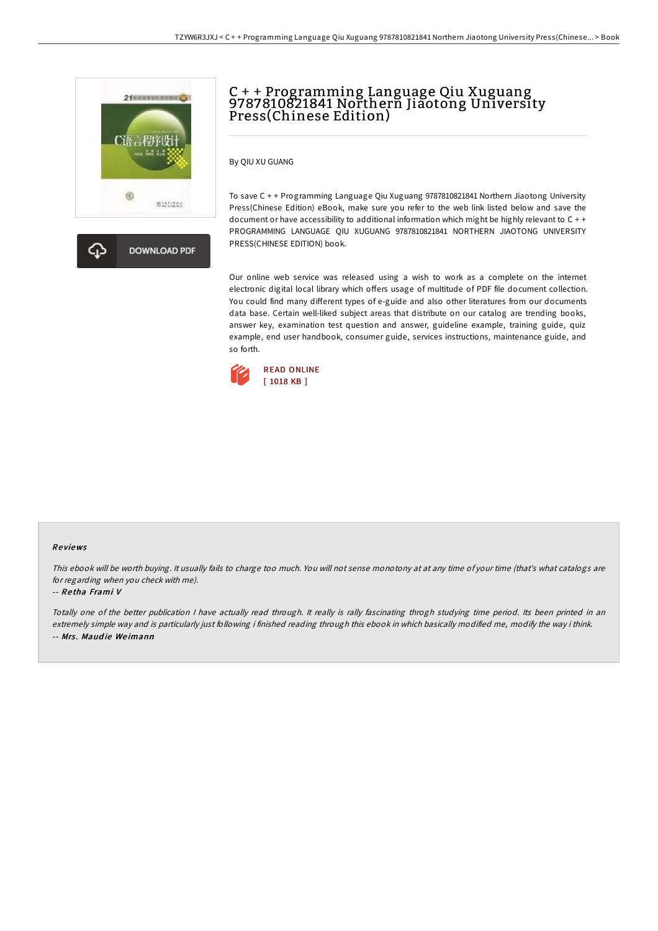



# C + + Programming Language Qiu Xuguang 9787810821841 Northern Jiaotong University Press(Chinese Edition)

### By QIU XU GUANG

To save C + + Programming Language Qiu Xuguang 9787810821841 Northern Jiaotong University Press(Chinese Edition) eBook, make sure you refer to the web link listed below and save the document or have accessibility to additional information which might be highly relevant to C + + PROGRAMMING LANGUAGE QIU XUGUANG 9787810821841 NORTHERN JIAOTONG UNIVERSITY PRESS(CHINESE EDITION) book.

Our online web service was released using a wish to work as a complete on the internet electronic digital local library which offers usage of multitude of PDF file document collection. You could find many different types of e-guide and also other literatures from our documents data base. Certain well-liked subject areas that distribute on our catalog are trending books, answer key, examination test question and answer, guideline example, training guide, quiz example, end user handbook, consumer guide, services instructions, maintenance guide, and so forth.



#### Re views

This ebook will be worth buying. It usually fails to charge too much. You will not sense monotony at at any time of your time (that's what catalogs are for regarding when you check with me).

#### -- Re tha Frami V

Totally one of the better publication <sup>I</sup> have actually read through. It really is rally fascinating throgh studying time period. Its been printed in an extremely simple way and is particularly just following i finished reading through this ebook in which basically modified me, modify the way i think. -- Mrs. Maudie Weimann